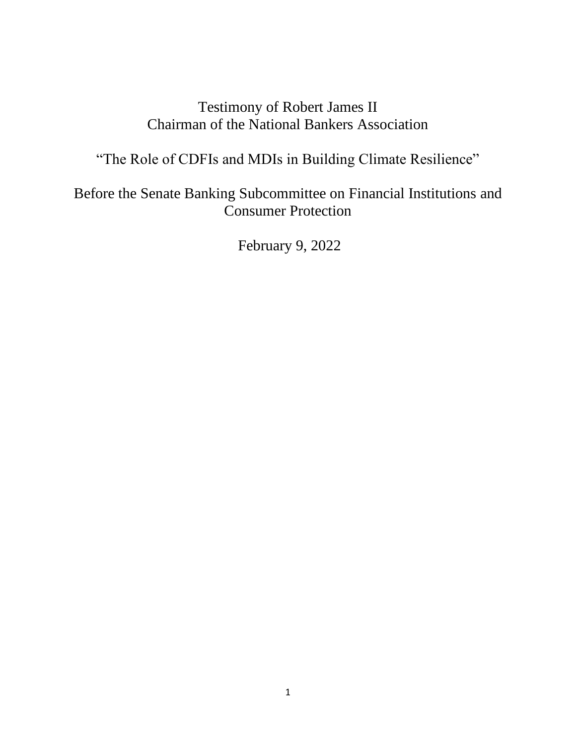## Testimony of Robert James II Chairman of the National Bankers Association

"The Role of CDFIs and MDIs in Building Climate Resilience"

Before the Senate Banking Subcommittee on Financial Institutions and Consumer Protection

February 9, 2022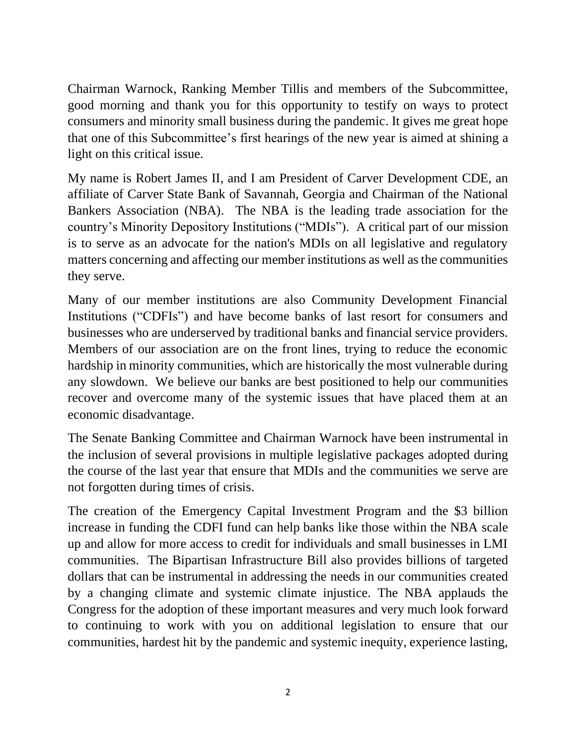Chairman Warnock, Ranking Member Tillis and members of the Subcommittee, good morning and thank you for this opportunity to testify on ways to protect consumers and minority small business during the pandemic. It gives me great hope that one of this Subcommittee's first hearings of the new year is aimed at shining a light on this critical issue.

My name is Robert James II, and I am President of Carver Development CDE, an affiliate of Carver State Bank of Savannah, Georgia and Chairman of the National Bankers Association (NBA). The NBA is the leading trade association for the country's Minority Depository Institutions ("MDIs"). A critical part of our mission is to serve as an advocate for the nation's MDIs on all legislative and regulatory matters concerning and affecting our member institutions as well as the communities they serve.

Many of our member institutions are also Community Development Financial Institutions ("CDFIs") and have become banks of last resort for consumers and businesses who are underserved by traditional banks and financial service providers. Members of our association are on the front lines, trying to reduce the economic hardship in minority communities, which are historically the most vulnerable during any slowdown. We believe our banks are best positioned to help our communities recover and overcome many of the systemic issues that have placed them at an economic disadvantage.

The Senate Banking Committee and Chairman Warnock have been instrumental in the inclusion of several provisions in multiple legislative packages adopted during the course of the last year that ensure that MDIs and the communities we serve are not forgotten during times of crisis.

The creation of the Emergency Capital Investment Program and the \$3 billion increase in funding the CDFI fund can help banks like those within the NBA scale up and allow for more access to credit for individuals and small businesses in LMI communities. The Bipartisan Infrastructure Bill also provides billions of targeted dollars that can be instrumental in addressing the needs in our communities created by a changing climate and systemic climate injustice. The NBA applauds the Congress for the adoption of these important measures and very much look forward to continuing to work with you on additional legislation to ensure that our communities, hardest hit by the pandemic and systemic inequity, experience lasting,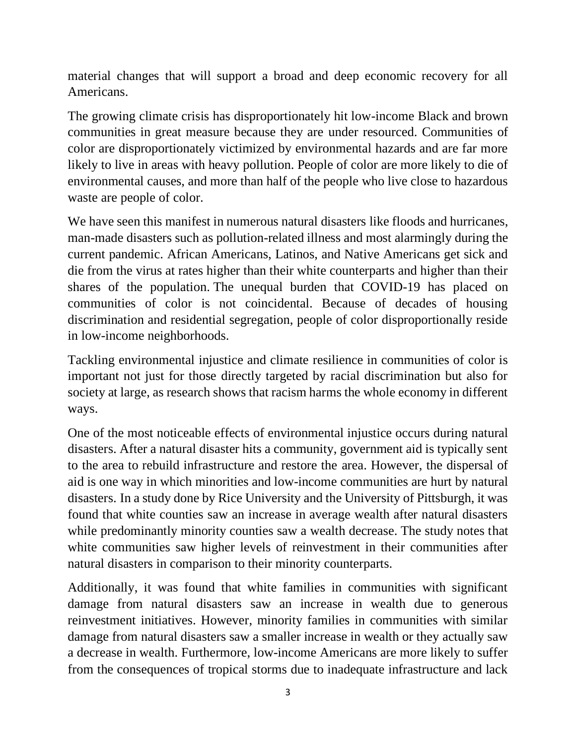material changes that will support a broad and deep economic recovery for all Americans.

The growing climate crisis has disproportionately hit low-income Black and brown communities in great measure because they are under resourced. Communities of color are disproportionately victimized by environmental hazards and are far more likely to live in areas with heavy pollution. People of color are more likely to die of environmental causes, and more than half of the people who live close to hazardous waste are people of color.

We have seen this manifest in numerous natural disasters like floods and hurricanes, man-made disasters such as pollution-related illness and most alarmingly during the current pandemic. African Americans, Latinos, and Native Americans get sick and die from the virus at rates higher than their white counterparts and higher than their shares of the population. The unequal burden that COVID-19 has placed on communities of color is not coincidental. Because of decades of housing discrimination and residential segregation, people of color disproportionally reside in low-income neighborhoods.

Tackling environmental injustice and climate resilience in communities of color is important not just for those directly targeted by racial discrimination but also for society at large, as research shows that racism harms the whole economy in different ways.

One of the most noticeable effects of environmental injustice occurs during natural disasters. After a natural disaster hits a community, government aid is typically sent to the area to rebuild infrastructure and restore the area. However, the dispersal of aid is one way in which minorities and low-income communities are hurt by natural disasters. In a study done by Rice University and the University of Pittsburgh, it was found that white counties saw an increase in average wealth after natural disasters while predominantly minority counties saw a wealth decrease. The study notes that white communities saw higher levels of reinvestment in their communities after natural disasters in comparison to their minority counterparts.

Additionally, it was found that white families in communities with significant damage from natural disasters saw an increase in wealth due to generous reinvestment initiatives. However, minority families in communities with similar damage from natural disasters saw a smaller increase in wealth or they actually saw a decrease in wealth. Furthermore, low-income Americans are more likely to suffer from the consequences of tropical storms due to inadequate infrastructure and lack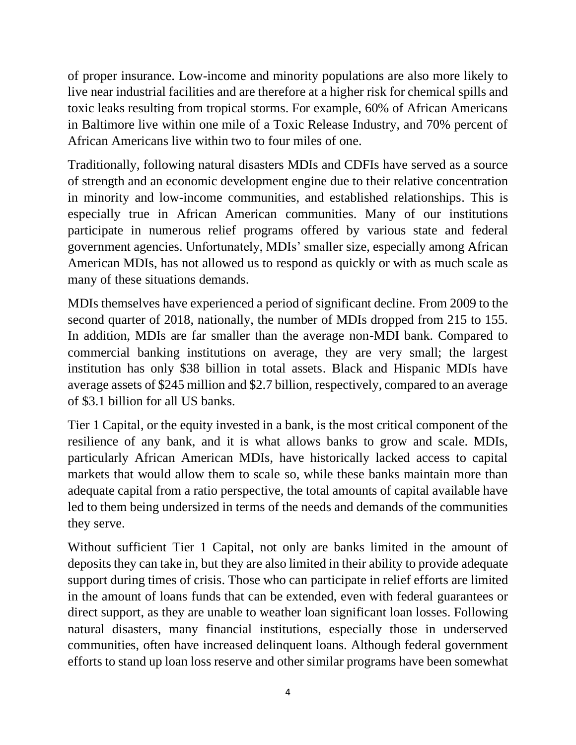of proper insurance. Low-income and minority populations are also more likely to live near industrial facilities and are therefore at a higher risk for chemical spills and toxic leaks resulting from tropical storms. For example, 60% of African Americans in Baltimore live within one mile of a Toxic Release Industry, and 70% percent of African Americans live within two to four miles of one.

Traditionally, following natural disasters MDIs and CDFIs have served as a source of strength and an economic development engine due to their relative concentration in minority and low-income communities, and established relationships. This is especially true in African American communities. Many of our institutions participate in numerous relief programs offered by various state and federal government agencies. Unfortunately, MDIs' smaller size, especially among African American MDIs, has not allowed us to respond as quickly or with as much scale as many of these situations demands.

MDIs themselves have experienced a period of significant decline. From 2009 to the second quarter of 2018, nationally, the number of MDIs dropped from 215 to 155. In addition, MDIs are far smaller than the average non-MDI bank. Compared to commercial banking institutions on average, they are very small; the largest institution has only \$38 billion in total assets. Black and Hispanic MDIs have average assets of \$245 million and \$2.7 billion, respectively, compared to an average of \$3.1 billion for all US banks.

Tier 1 Capital, or the equity invested in a bank, is the most critical component of the resilience of any bank, and it is what allows banks to grow and scale. MDIs, particularly African American MDIs, have historically lacked access to capital markets that would allow them to scale so, while these banks maintain more than adequate capital from a ratio perspective, the total amounts of capital available have led to them being undersized in terms of the needs and demands of the communities they serve.

Without sufficient Tier 1 Capital, not only are banks limited in the amount of deposits they can take in, but they are also limited in their ability to provide adequate support during times of crisis. Those who can participate in relief efforts are limited in the amount of loans funds that can be extended, even with federal guarantees or direct support, as they are unable to weather loan significant loan losses. Following natural disasters, many financial institutions, especially those in underserved communities, often have increased delinquent loans. Although federal government efforts to stand up loan loss reserve and other similar programs have been somewhat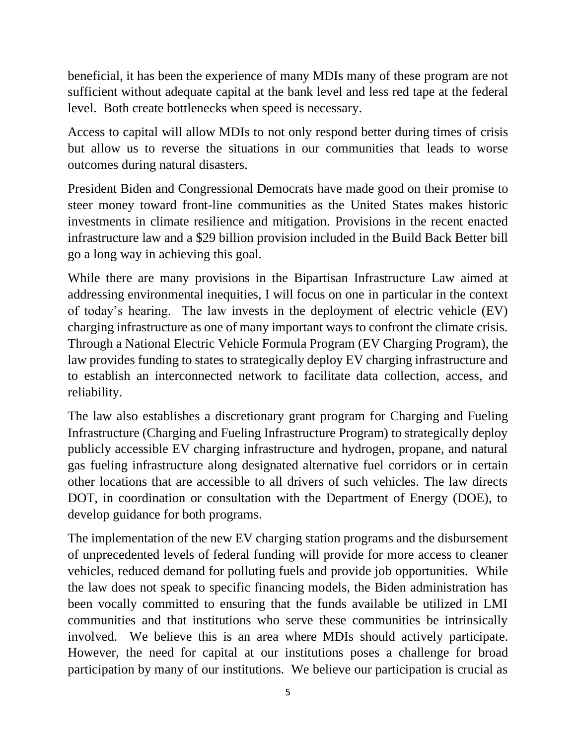beneficial, it has been the experience of many MDIs many of these program are not sufficient without adequate capital at the bank level and less red tape at the federal level. Both create bottlenecks when speed is necessary.

Access to capital will allow MDIs to not only respond better during times of crisis but allow us to reverse the situations in our communities that leads to worse outcomes during natural disasters.

President Biden and Congressional Democrats have made good on their promise to steer money toward front-line communities as the United States makes historic investments in climate resilience and mitigation. Provisions in the recent enacted infrastructure law and a \$29 billion provision included in the Build Back Better bill go a long way in achieving this goal.

While there are many provisions in the Bipartisan Infrastructure Law aimed at addressing environmental inequities, I will focus on one in particular in the context of today's hearing. The law invests in the deployment of electric vehicle (EV) charging infrastructure as one of many important ways to confront the climate crisis. Through a National Electric Vehicle Formula Program (EV Charging Program), the law provides funding to states to strategically deploy EV charging infrastructure and to establish an interconnected network to facilitate data collection, access, and reliability.

The law also establishes a discretionary grant program for Charging and Fueling Infrastructure (Charging and Fueling Infrastructure Program) to strategically deploy publicly accessible EV charging infrastructure and hydrogen, propane, and natural gas fueling infrastructure along designated alternative fuel corridors or in certain other locations that are accessible to all drivers of such vehicles. The law directs DOT, in coordination or consultation with the Department of Energy (DOE), to develop guidance for both programs.

The implementation of the new EV charging station programs and the disbursement of unprecedented levels of federal funding will provide for more access to cleaner vehicles, reduced demand for polluting fuels and provide job opportunities. While the law does not speak to specific financing models, the Biden administration has been vocally committed to ensuring that the funds available be utilized in LMI communities and that institutions who serve these communities be intrinsically involved. We believe this is an area where MDIs should actively participate. However, the need for capital at our institutions poses a challenge for broad participation by many of our institutions. We believe our participation is crucial as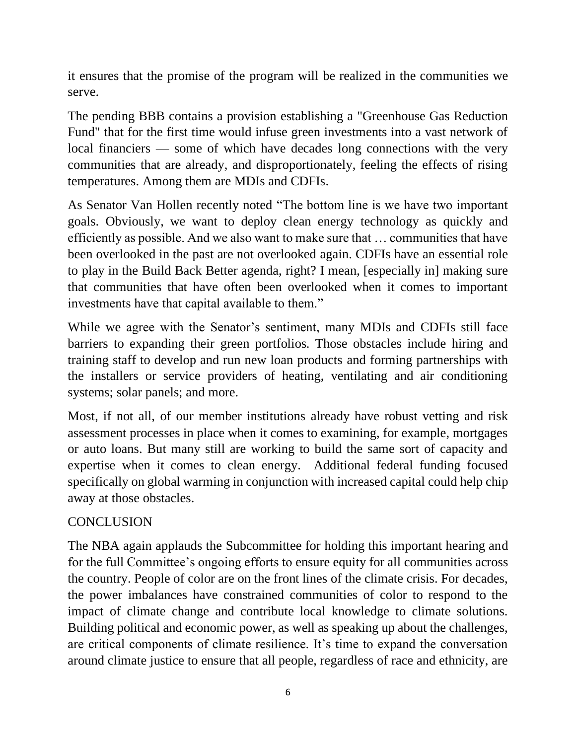it ensures that the promise of the program will be realized in the communities we serve.

The pending BBB contains a provision establishing a "Greenhouse Gas Reduction Fund" that for the first time would infuse green investments into a vast network of local financiers — some of which have decades long connections with the very communities that are already, and disproportionately, feeling the effects of rising temperatures. Among them are MDIs and CDFIs.

As Senator Van Hollen recently noted "The bottom line is we have two important goals. Obviously, we want to deploy clean energy technology as quickly and efficiently as possible. And we also want to make sure that … communities that have been overlooked in the past are not overlooked again. CDFIs have an essential role to play in the Build Back Better agenda, right? I mean, [especially in] making sure that communities that have often been overlooked when it comes to important investments have that capital available to them."

While we agree with the Senator's sentiment, many MDIs and CDFIs still face barriers to expanding their green portfolios. Those obstacles include hiring and training staff to develop and run new loan products and forming partnerships with the installers or service providers of heating, ventilating and air conditioning systems; solar panels; and more.

Most, if not all, of our member institutions already have robust vetting and risk assessment processes in place when it comes to examining, for example, mortgages or auto loans. But many still are working to build the same sort of capacity and expertise when it comes to clean energy. Additional federal funding focused specifically on global warming in conjunction with increased capital could help chip away at those obstacles.

## **CONCLUSION**

The NBA again applauds the Subcommittee for holding this important hearing and for the full Committee's ongoing efforts to ensure equity for all communities across the country. People of color are on the front lines of the climate crisis. For decades, the power imbalances have constrained communities of color to respond to the impact of climate change and contribute local knowledge to climate solutions. Building political and economic power, as well as speaking up about the challenges, are critical components of climate resilience. It's time to expand the conversation around climate justice to ensure that all people, regardless of race and ethnicity, are